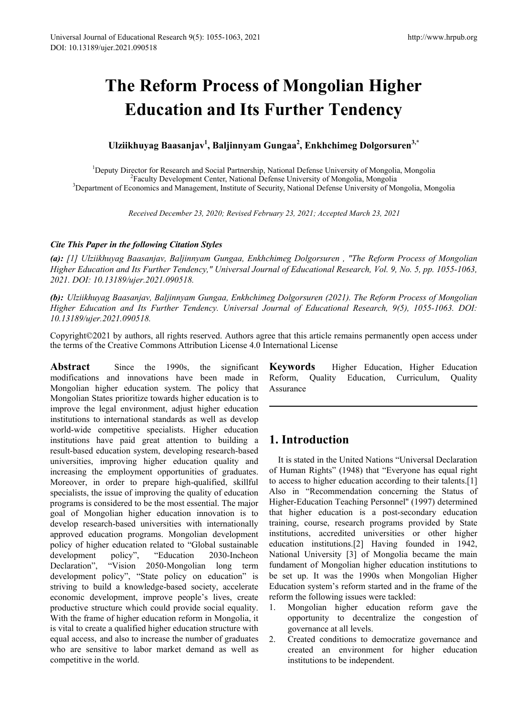# **The Reform Process of Mongolian Higher Education and Its Further Tendency**

**Ulziikhuyag Baasanjav1 , Baljinnyam Gungaa<sup>2</sup> , Enkhchimeg Dolgorsuren3,\***

<sup>1</sup>Deputy Director for Research and Social Partnership, National Defense University of Mongolia, Mongolia<sup>2</sup><br><sup>2</sup>Eaculty Development Center, National Defense University of Mongolia Mongolia Faculty Development Center, National Defense University of Mongolia, Mongolia 3 Department of Economics and Management, Institute of Security, National Defense University of Mongolia, Mongolia

*Received December 23, 2020; Revised February 23, 2021; Accepted March 23, 2021* 

#### *Cite This Paper in the following Citation Styles*

*(a): [1] Ulziikhuyag Baasanjav, Baljinnyam Gungaa, Enkhchimeg Dolgorsuren , "The Reform Process of Mongolian Higher Education and Its Further Tendency," Universal Journal of Educational Research, Vol. 9, No. 5, pp. 1055-1063, 2021. DOI: 10.13189/ujer.2021.090518.* 

*(b): Ulziikhuyag Baasanjav, Baljinnyam Gungaa, Enkhchimeg Dolgorsuren (2021). The Reform Process of Mongolian Higher Education and Its Further Tendency. Universal Journal of Educational Research, 9(5), 1055-1063. DOI: 10.13189/ujer.2021.090518.* 

Copyright©2021 by authors, all rights reserved. Authors agree that this article remains permanently open access under the terms of the Creative Commons Attribution License 4.0 International License

Abstract Since the 1990s, the significant modifications and innovations have been made in Mongolian higher education system. The policy that Mongolian States prioritize towards higher education is to improve the legal environment, adjust higher education institutions to international standards as well as develop world-wide competitive specialists. Higher education institutions have paid great attention to building a result-based education system, developing research-based universities, improving higher education quality and increasing the employment opportunities of graduates. Moreover, in order to prepare high-qualified, skillful specialists, the issue of improving the quality of education programs is considered to be the most essential. The major goal of Mongolian higher education innovation is to develop research-based universities with internationally approved education programs. Mongolian development policy of higher education related to "Global sustainable development policy", "Education 2030-Incheon Declaration", "Vision 2050-Mongolian long term development policy", "State policy on education" is striving to build a knowledge-based society, accelerate economic development, improve people's lives, create productive structure which could provide social equality. With the frame of higher education reform in Mongolia, it is vital to create a qualified higher education structure with equal access, and also to increase the number of graduates who are sensitive to labor market demand as well as competitive in the world.

**Keywords** Higher Education, Higher Education Reform, Quality Education, Curriculum, Quality Assurance

## **1. Introduction**

It is stated in the United Nations "Universal Declaration of Human Rights" (1948) that "Everyone has equal right to access to higher education according to their talents.[1] Also in "Recommendation concerning the Status of Higher-Education Teaching Personnel'' (1997) determined that higher education is a post-secondary education training, course, research programs provided by State institutions, accredited universities or other higher education institutions.[2] Having founded in 1942, National University [3] of Mongolia became the main fundament of Mongolian higher education institutions to be set up. It was the 1990s when Mongolian Higher Education system's reform started and in the frame of the reform the following issues were tackled:

- 1. Mongolian higher education reform gave the opportunity to decentralize the congestion of governance at all levels.
- 2. Created conditions to democratize governance and created an environment for higher education institutions to be independent.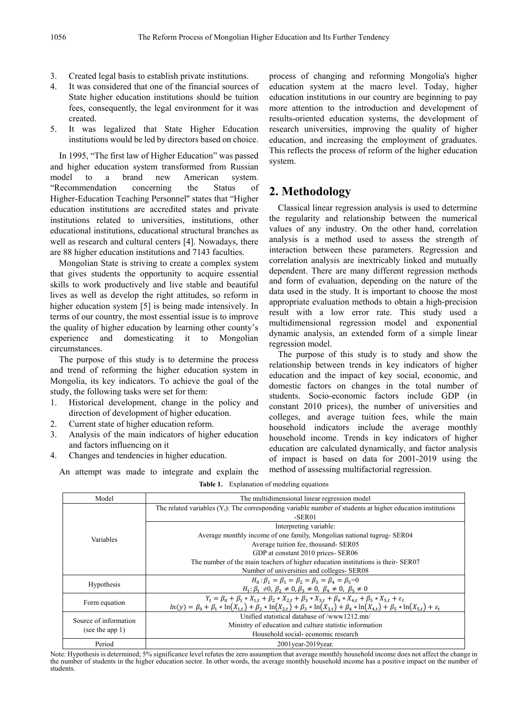- 3. Created legal basis to establish private institutions.<br>4. It was considered that one of the financial sources
- It was considered that one of the financial sources of State higher education institutions should be tuition fees, consequently, the legal environment for it was created.
- 5. It was legalized that State Higher Education institutions would be led by directors based on choice.

In 1995, "The first law of Higher Education" was passed and higher education system transformed from Russian model to a brand new American system. "Recommendation concerning the Status of Higher-Education Teaching Personnel'' states that "Higher education institutions are accredited states and private institutions related to universities, institutions, other educational institutions, educational structural branches as well as research and cultural centers [4]. Nowadays, there are 88 higher education institutions and 7143 faculties.

Mongolian State is striving to create a complex system that gives students the opportunity to acquire essential skills to work productively and live stable and beautiful lives as well as develop the right attitudes, so reform in higher education system [5] is being made intensively. In terms of our country, the most essential issue is to improve the quality of higher education by learning other county's experience and domesticating it to Mongolian circumstances.

The purpose of this study is to determine the process and trend of reforming the higher education system in Mongolia, its key indicators. To achieve the goal of the study, the following tasks were set for them:

- 1. Historical development, change in the policy and direction of development of higher education.
- 2. Current state of higher education reform.
- 3. Analysis of the main indicators of higher education and factors influencing on it

An attempt was made to integrate and explain the

4. Changes and tendencies in higher education.

process of changing and reforming Mongolia's higher education system at the macro level. Today, higher education institutions in our country are beginning to pay more attention to the introduction and development of results-oriented education systems, the development of research universities, improving the quality of higher education, and increasing the employment of graduates. This reflects the process of reform of the higher education system.

## **2. Methodology**

Classical linear regression analysis is used to determine the regularity and relationship between the numerical values of any industry. On the other hand, correlation analysis is a method used to assess the strength of interaction between these parameters. Regression and correlation analysis are inextricably linked and mutually dependent. There are many different regression methods and form of evaluation, depending on the nature of the data used in the study. It is important to choose the most appropriate evaluation methods to obtain a high-precision result with a low error rate. This study used a multidimensional regression model and exponential dynamic analysis, an extended form of a simple linear regression model.

The purpose of this study is to study and show the relationship between trends in key indicators of higher education and the impact of key social, economic, and domestic factors on changes in the total number of students. Socio-economic factors include GDP (in constant 2010 prices), the number of universities and colleges, and average tuition fees, while the main household indicators include the average monthly household income. Trends in key indicators of higher education are calculated dynamically, and factor analysis of impact is based on data for 2001-2019 using the method of assessing multifactorial regression.

| Model                                       | The multidimensional linear regression model                                                                                                              |  |  |  |  |
|---------------------------------------------|-----------------------------------------------------------------------------------------------------------------------------------------------------------|--|--|--|--|
|                                             | The related variables $(Y_t)$ : The corresponding variable number of students at higher education institutions                                            |  |  |  |  |
|                                             | $-$ SER01                                                                                                                                                 |  |  |  |  |
|                                             | Interpreting variable:                                                                                                                                    |  |  |  |  |
| Variables                                   | Average monthly income of one family, Mongolian national tugrug- SER04                                                                                    |  |  |  |  |
|                                             | Average tuition fee, thousand- SER05                                                                                                                      |  |  |  |  |
|                                             | GDP at constant 2010 prices- SER06                                                                                                                        |  |  |  |  |
|                                             | The number of the main teachers of higher education institutions is their-SER07                                                                           |  |  |  |  |
|                                             | Number of universities and colleges- SER08                                                                                                                |  |  |  |  |
| <b>Hypothesis</b>                           | $H_0: \beta_1 = \beta_1 = \beta_2 = \beta_3 = \beta_4 = \beta_5 = 0$                                                                                      |  |  |  |  |
|                                             | $H_1: \beta_1 \neq 0, \beta_2 \neq 0, \beta_3 \neq 0, \beta_4 \neq 0, \beta_5 \neq 0$                                                                     |  |  |  |  |
| Form equation                               | $Y_t = \beta_0 + \beta_1 X_{1,t} + \beta_2 X_{2,t} + \beta_3 X_{3,t} + \beta_4 X_{4,t} + \beta_5 X_{5,t} + \varepsilon_t$                                 |  |  |  |  |
|                                             | $ln(y) = \beta_0 + \beta_1 * ln(X_{1,t}) + \beta_2 * ln(X_{2,t}) + \beta_3 * ln(X_{3,t}) + \beta_4 * ln(X_{4,t}) + \beta_5 * ln(X_{5,t}) + \varepsilon_t$ |  |  |  |  |
| Source of information<br>(see the app $1$ ) | Unified statistical database of /www1212.mn/                                                                                                              |  |  |  |  |
|                                             | Ministry of education and culture statistic information                                                                                                   |  |  |  |  |
|                                             | Household social-economic research                                                                                                                        |  |  |  |  |
| Period                                      | $2001$ year- $2019$ year.                                                                                                                                 |  |  |  |  |

Note: Hypothesis is determined; 5% significance level refutes the zero assumption that average monthly household income does not affect the change in the number of students in the higher education sector. In other words, the average monthly household income has a positive impact on the number of students.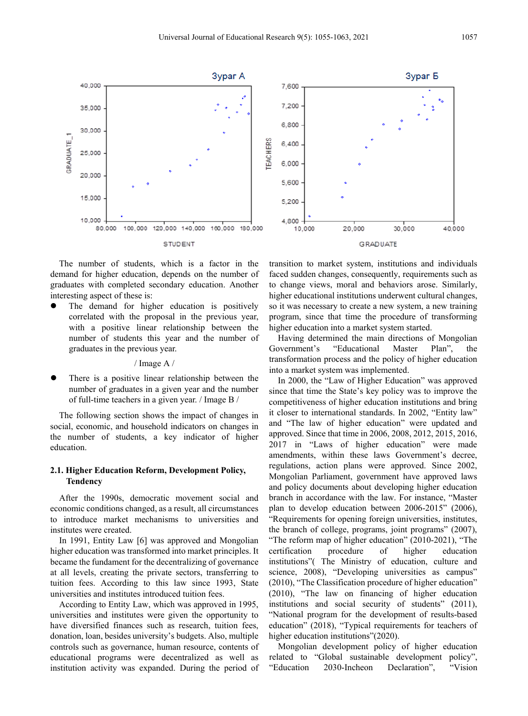

The number of students, which is a factor in the demand for higher education, depends on the number of graduates with completed secondary education. Another interesting aspect of these is:

 The demand for higher education is positively correlated with the proposal in the previous year, with a positive linear relationship between the number of students this year and the number of graduates in the previous year.

#### / Image A /

 There is a positive linear relationship between the number of graduates in a given year and the number of full-time teachers in a given year. / Image B /

The following section shows the impact of changes in social, economic, and household indicators on changes in the number of students, a key indicator of higher education.

#### **2.1. Higher Education Reform, Development Policy, Tendency**

After the 1990s, democratic movement social and economic conditions changed, as a result, all circumstances to introduce market mechanisms to universities and institutes were created.

In 1991, Entity Law [6] was approved and Mongolian higher education was transformed into market principles. It became the fundament for the decentralizing of governance at all levels, creating the private sectors, transferring to tuition fees. According to this law since 1993, State universities and institutes introduced tuition fees.

According to Entity Law, which was approved in 1995, universities and institutes were given the opportunity to have diversified finances such as research, tuition fees, donation, loan, besides university's budgets. Also, multiple controls such as governance, human resource, contents of educational programs were decentralized as well as institution activity was expanded. During the period of

transition to market system, institutions and individuals faced sudden changes, consequently, requirements such as to change views, moral and behaviors arose. Similarly, higher educational institutions underwent cultural changes, so it was necessary to create a new system, a new training program, since that time the procedure of transforming higher education into a market system started.

Having determined the main directions of Mongolian Government's "Educational Master Plan", the transformation process and the policy of higher education into a market system was implemented.

In 2000, the "Law of Higher Education" was approved since that time the State's key policy was to improve the competitiveness of higher education institutions and bring it closer to international standards. In 2002, "Entity law" and "The law of higher education" were updated and approved. Since that time in 2006, 2008, 2012, 2015, 2016, 2017 in "Laws of higher education" were made amendments, within these laws Government's decree, regulations, action plans were approved. Since 2002, Mongolian Parliament, government have approved laws and policy documents about developing higher education branch in accordance with the law. For instance, "Master plan to develop education between 2006-2015" (2006), "Requirements for opening foreign universities, institutes, the branch of college, programs, joint programs" (2007), "The reform map of higher education" (2010-2021), "The certification procedure of higher education institutions"( The Ministry of education, culture and science, 2008), "Developing universities as campus" (2010), "The Classification procedure of higher education" (2010), "The law on financing of higher education institutions and social security of students" (2011), "National program for the development of results-based education" (2018), "Typical requirements for teachers of higher education institutions" (2020).

Mongolian development policy of higher education related to "Global sustainable development policy", "Education 2030-Incheon Declaration", "Vision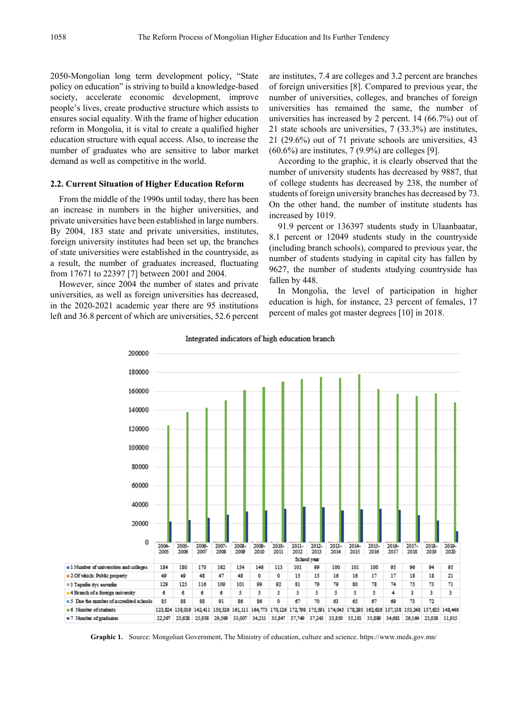2050-Mongolian long term development policy, "State policy on education" is striving to build a knowledge-based society, accelerate economic development, improve people's lives, create productive structure which assists to ensures social equality. With the frame of higher education reform in Mongolia, it is vital to create a qualified higher education structure with equal access. Also, to increase the number of graduates who are sensitive to labor market demand as well as competitive in the world.

#### **2.2. Current Situation of Higher Education Reform**

From the middle of the 1990s until today, there has been an increase in numbers in the higher universities, and private universities have been established in large numbers. By 2004, 183 state and private universities, institutes, foreign university institutes had been set up, the branches of state universities were established in the countryside, as a result, the number of graduates increased, fluctuating from 17671 to 22397 [7] between 2001 and 2004.

However, since 2004 the number of states and private universities, as well as foreign universities has decreased, in the 2020-2021 academic year there are 95 institutions left and 36.8 percent of which are universities, 52.6 percent

are institutes, 7.4 are colleges and 3.2 percent are branches of foreign universities [8]. Compared to previous year, the number of universities, colleges, and branches of foreign universities has remained the same, the number of universities has increased by 2 percent. 14 (66.7%) out of 21 state schools are universities, 7 (33.3%) are institutes, 21 (29.6%) out of 71 private schools are universities, 43 (60.6%) are institutes, 7 (9.9%) are colleges [9].

According to the graphic, it is clearly observed that the number of university students has decreased by 9887, that of college students has decreased by 238, the number of students of foreign university branches has decreased by 73. On the other hand, the number of institute students has increased by 1019.

91.9 percent or 136397 students study in Ulaanbaatar, 8.1 percent or 12049 students study in the countryside (including branch schools), compared to previous year, the number of students studying in capital city has fallen by 9627, the number of students studying countryside has fallen by 448.

In Mongolia, the level of participation in higher education is high, for instance, 23 percent of females, 17 percent of males got master degrees [10] in 2018.



Integrated indicators of high education branch

**Graphic 1.** Source: Mongolian Government, The Ministry of education, culture and science. https://www.meds.gov.mn/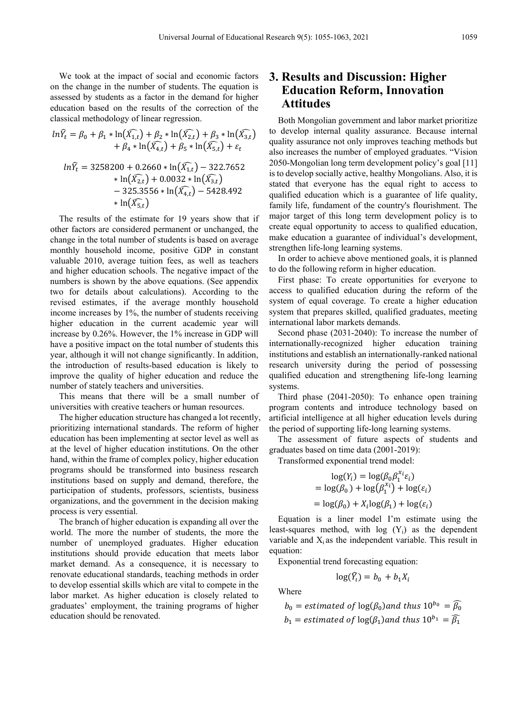We took at the impact of social and economic factors on the change in the number of students. The equation is assessed by students as a factor in the demand for higher education based on the results of the correction of the classical methodology of linear regression.

$$
ln\widehat{Y}_t = \beta_0 + \beta_1 * ln(\widehat{X}_{1,t}) + \beta_2 * ln(\widehat{X}_{2,t}) + \beta_3 * ln(\widehat{X}_{3,t})
$$
  
+  $\beta_4 * ln(\widehat{X}_{4,t}) + \beta_5 * ln(\widehat{X}_{5,t}) + \varepsilon_t$   

$$
ln\widehat{Y}_t = 3258200 + 0.2660 * ln(\widehat{X}_{1,t}) - 322.7652
$$
  

$$
+ ln(\widehat{X}_{2,t}) + 0.0032 * ln(\widehat{X}_{3,t})
$$
  
- 325.3556 \* ln(\widehat{X}\_{4,t}) - 5428.492  

$$
+ ln(\widehat{X}_{5,t})
$$

The results of the estimate for 19 years show that if other factors are considered permanent or unchanged, the change in the total number of students is based on average monthly household income, positive GDP in constant valuable 2010, average tuition fees, as well as teachers and higher education schools. The negative impact of the numbers is shown by the above equations. (See appendix two for details about calculations). According to the revised estimates, if the average monthly household income increases by 1%, the number of students receiving higher education in the current academic year will increase by 0.26%. However, the 1% increase in GDP will have a positive impact on the total number of students this year, although it will not change significantly. In addition, the introduction of results-based education is likely to improve the quality of higher education and reduce the number of stately teachers and universities.

This means that there will be a small number of universities with creative teachers or human resources.

The higher education structure has changed a lot recently, prioritizing international standards. The reform of higher education has been implementing at sector level as well as at the level of higher education institutions. On the other hand, within the frame of complex policy, higher education programs should be transformed into business research institutions based on supply and demand, therefore, the participation of students, professors, scientists, business organizations, and the government in the decision making process is very essential.

The branch of higher education is expanding all over the world. The more the number of students, the more the number of unemployed graduates. Higher education institutions should provide education that meets labor market demand. As a consequence, it is necessary to renovate educational standards, teaching methods in order to develop essential skills which are vital to compete in the labor market. As higher education is closely related to graduates' employment, the training programs of higher education should be renovated.

## **3. Results and Discussion: Higher Education Reform, Innovation Attitudes**

Both Mongolian government and labor market prioritize to develop internal quality assurance. Because internal quality assurance not only improves teaching methods but also increases the number of employed graduates. "Vision 2050-Mongolian long term development policy's goal [11] is to develop socially active, healthy Mongolians. Also, it is stated that everyone has the equal right to access to qualified education which is a guarantee of life quality, family life, fundament of the country's flourishment. The major target of this long term development policy is to create equal opportunity to access to qualified education, make education a guarantee of individual's development, strengthen life-long learning systems.

In order to achieve above mentioned goals, it is planned to do the following reform in higher education.

First phase: To create opportunities for everyone to access to qualified education during the reform of the system of equal coverage. To create a higher education system that prepares skilled, qualified graduates, meeting international labor markets demands.

Second phase (2031-2040): To increase the number of internationally-recognized higher education training institutions and establish an internationally-ranked national research university during the period of possessing qualified education and strengthening life-long learning systems.

Third phase (2041-2050): To enhance open training program contents and introduce technology based on artificial intelligence at all higher education levels during the period of supporting life-long learning systems.

The assessment of future aspects of students and graduates based on time data (2001-2019):

Transformed exponential trend model:  $\overline{1}$   $\overline{(11)}$   $\overline{1}$   $\overline{(0.001)}$ 

$$
\log(Y_i) = \log(\beta_0 \beta_1^{x_i} \varepsilon_i)
$$
  
= 
$$
\log(\beta_0) + \log(\beta_1^{x_i}) + \log(\varepsilon_i)
$$
  
= 
$$
\log(\beta_0) + X_i \log(\beta_1) + \log(\varepsilon_i)
$$

Equation is a liner model I'm estimate using the least-squares method, with  $log(Y_i)$  as the dependent variable and  $X_i$  as the independent variable. This result in equation:

Exponential trend forecasting equation:

$$
\log(\widehat{Y}_i) = b_0 + b_1 X_i
$$

Where

$$
b_0
$$
 = estimated of  $log(\beta_0)$  and thus  $10^{b_0} = \widehat{\beta_0}$   
 $b_1$  = estimated of  $log(\beta_1)$  and thus  $10^{b_1} = \widehat{\beta_1}$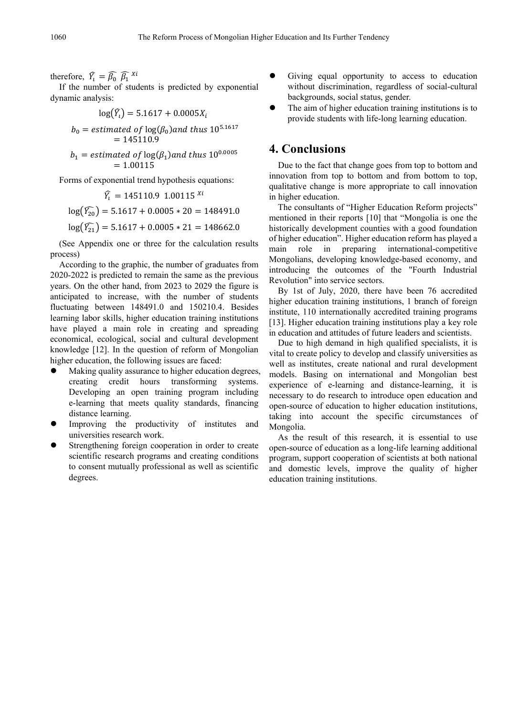therefore,  $Y_t = \beta_0 \beta_1^{x_t}$ 

If the number of students is predicted by exponential dynamic analysis:

$$
\log(\widehat{Y}_t) = 5.1617 + 0.0005X_t
$$

$$
b_0 = estimated\ of\ \log(\beta_0) \ and\ thus\ 10^{5.1617} = 145110.9
$$

$$
b_1 = estimated\ of\ \log(\beta_1) \ and\ thus\ 10^{0.0005} = 1.00115
$$

Forms of exponential trend hypothesis equations:

$$
\widehat{Y}_t = 145110.9 \ 1.00115^{\ X i}
$$

$$
\log(\widehat{Y}_{20}) = 5.1617 + 0.0005 * 20 = 148491.0
$$

$$
\log(\widehat{Y}_{21}) = 5.1617 + 0.0005 * 21 = 148662.0
$$

(See Appendix one or three for the calculation results process)

According to the graphic, the number of graduates from 2020-2022 is predicted to remain the same as the previous years. On the other hand, from 2023 to 2029 the figure is anticipated to increase, with the number of students fluctuating between 148491.0 and 150210.4. Besides learning labor skills, higher education training institutions have played a main role in creating and spreading economical, ecological, social and cultural development knowledge [12]. In the question of reform of Mongolian higher education, the following issues are faced:

- Making quality assurance to higher education degrees, creating credit hours transforming systems. Developing an open training program including e-learning that meets quality standards, financing distance learning.
- Improving the productivity of institutes and universities research work.
- Strengthening foreign cooperation in order to create scientific research programs and creating conditions to consent mutually professional as well as scientific degrees.
- Giving equal opportunity to access to education without discrimination, regardless of social-cultural backgrounds, social status, gender.
- The aim of higher education training institutions is to provide students with life-long learning education.

### **4. Conclusions**

Due to the fact that change goes from top to bottom and innovation from top to bottom and from bottom to top, qualitative change is more appropriate to call innovation in higher education.

The consultants of "Higher Education Reform projects" mentioned in their reports [10] that "Mongolia is one the historically development counties with a good foundation of higher education". Higher education reform has played a<br>main role in preparing international-competitive in preparing international-competitive Mongolians, developing knowledge-based economy, and introducing the outcomes of the "Fourth Industrial Revolution" into service sectors.

By 1st of July, 2020, there have been 76 accredited higher education training institutions, 1 branch of foreign institute, 110 internationally accredited training programs [13]. Higher education training institutions play a key role in education and attitudes of future leaders and scientists.

Due to high demand in high qualified specialists, it is vital to create policy to develop and classify universities as well as institutes, create national and rural development models. Basing on international and Mongolian best experience of e-learning and distance-learning, it is necessary to do research to introduce open education and open-source of education to higher education institutions, taking into account the specific circumstances of Mongolia.

As the result of this research, it is essential to use open-source of education as a long-life learning additional program, support cooperation of scientists at both national and domestic levels, improve the quality of higher education training institutions.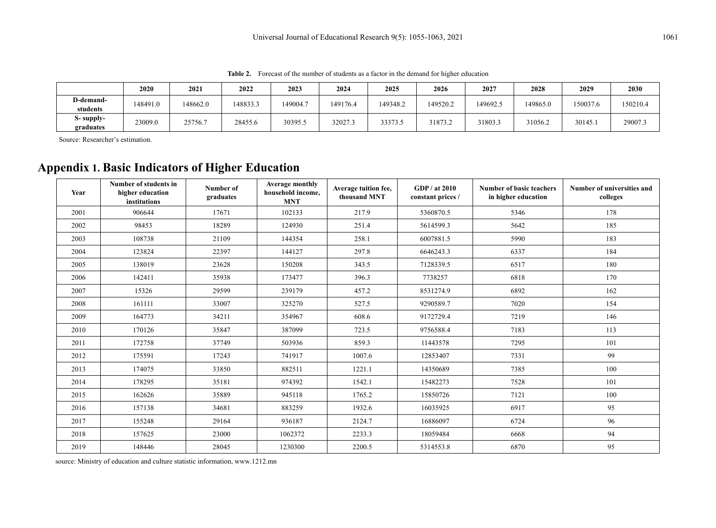**2020 2021 2022 2023 2024 2025 2026 2027 2028 2029 2030 D-demandstudents** 148491.0 148662.0 148833.3 149004.7 149176.4 149348.2 149520.2 149692.5 149865.0 150037.6 150210.4 **S- supply**graduates | 23009.0 | 25756.7 | 28455.6 | 30395.5 | 32027.3 | 33373.5 | 31873.2 | 31803.3 | 31056.2 | 30145.1 | 29007.3<br>graduates

**Table 2.** Forecast of the number of students as a factor in the demand for higher education

Source: Researcher's estimation.

## **Appendix 1. Basic Indicators of Higher Education**

| Year | Number of students in<br>higher education<br>institutions | Number of<br>graduates | Average monthly<br>household income,<br><b>MNT</b> | Average tuition fee,<br>thousand MNT | GDP / at 2010<br>constant prices / | <b>Number of basic teachers</b><br>in higher education | Number of universities and<br>colleges |  |
|------|-----------------------------------------------------------|------------------------|----------------------------------------------------|--------------------------------------|------------------------------------|--------------------------------------------------------|----------------------------------------|--|
| 2001 | 906644                                                    | 17671                  | 102133                                             | 217.9                                | 5360870.5                          | 5346                                                   | 178                                    |  |
| 2002 | 98453                                                     | 18289                  | 124930                                             | 251.4                                | 5614599.3                          | 5642                                                   | 185                                    |  |
| 2003 | 108738                                                    | 21109                  | 144354                                             | 258.1                                | 6007881.5                          | 5990                                                   | 183                                    |  |
| 2004 | 123824                                                    | 22397                  | 144127                                             | 297.8                                | 6646243.3                          | 6337                                                   | 184                                    |  |
| 2005 | 138019                                                    | 23628                  | 150208                                             | 343.5                                | 7128339.5                          | 6517                                                   | 180                                    |  |
| 2006 | 142411                                                    | 35938                  | 173477                                             | 396.3                                | 7738257                            | 6818                                                   | 170                                    |  |
| 2007 | 15326                                                     | 29599                  | 239179                                             | 457.2                                | 8531274.9                          | 6892                                                   | 162                                    |  |
| 2008 | 161111                                                    | 33007                  | 325270                                             | 527.5                                | 9290589.7                          | 7020                                                   | 154                                    |  |
| 2009 | 164773                                                    | 34211                  | 354967                                             | 608.6                                | 9172729.4                          | 7219                                                   | 146                                    |  |
| 2010 | 170126                                                    | 35847                  | 387099                                             | 723.5                                | 9756588.4                          | 7183                                                   | 113                                    |  |
| 2011 | 172758                                                    | 37749                  | 503936                                             | 859.3                                | 11443578                           | 7295                                                   | 101                                    |  |
| 2012 | 175591                                                    | 17243                  | 741917                                             | 1007.6                               | 12853407                           | 7331                                                   | 99                                     |  |
| 2013 | 174075                                                    | 33850                  | 882511                                             | 1221.1                               | 14350689                           | 7385                                                   | 100                                    |  |
| 2014 | 178295                                                    | 35181                  | 974392                                             | 1542.1                               | 15482273                           | 7528                                                   | 101                                    |  |
| 2015 | 162626                                                    | 35889                  | 945118                                             | 1765.2                               | 15850726                           | 7121                                                   | 100                                    |  |
| 2016 | 157138                                                    | 34681                  | 883259                                             | 1932.6                               | 16035925                           | 6917                                                   | 95                                     |  |
| 2017 | 155248                                                    | 29164                  | 936187                                             | 2124.7                               | 16886097                           | 6724                                                   | 96                                     |  |
| 2018 | 157625                                                    | 23000                  | 1062372                                            | 2233.3                               | 18059484                           | 6668                                                   | 94                                     |  |
| 2019 | 148446                                                    | 28045                  | 1230300                                            | 2200.5                               | 5314553.8                          | 6870                                                   | 95                                     |  |

source: Ministry of education and culture statistic information, www.1212.mn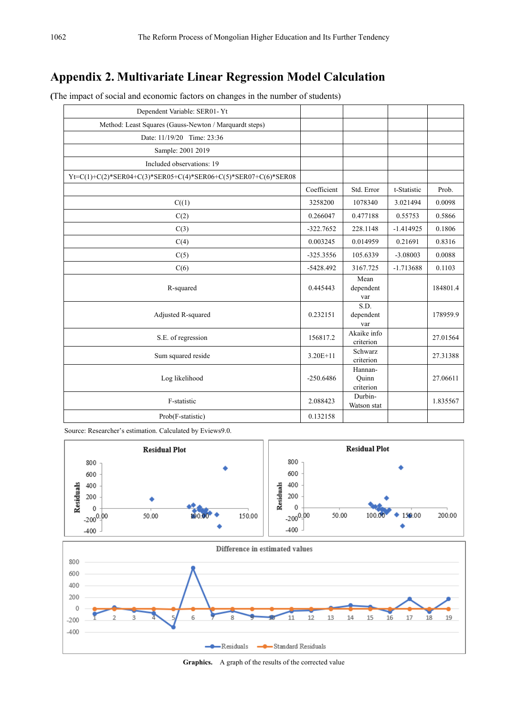## **Appendix 2. Multivariate Linear Regression Model Calculation**

| Dependent Variable: SER01-Yt                                   |             |                               |             |          |
|----------------------------------------------------------------|-------------|-------------------------------|-------------|----------|
| Method: Least Squares (Gauss-Newton / Marquardt steps)         |             |                               |             |          |
| Date: 11/19/20 Time: 23:36                                     |             |                               |             |          |
| Sample: 2001 2019                                              |             |                               |             |          |
| Included observations: 19                                      |             |                               |             |          |
| Yt=C(1)+C(2)*SER04+C(3)*SER05+C(4)*SER06+C(5)*SER07+C(6)*SER08 |             |                               |             |          |
|                                                                | Coefficient | Std. Error                    | t-Statistic | Prob.    |
| C((1)                                                          | 3258200     | 1078340                       | 3.021494    | 0.0098   |
| C(2)                                                           | 0.266047    | 0.477188                      | 0.55753     | 0.5866   |
| C(3)                                                           | $-322.7652$ | 228.1148                      | $-1.414925$ | 0.1806   |
| C(4)                                                           | 0.003245    | 0.014959                      | 0.21691     | 0.8316   |
| C(5)                                                           | $-325.3556$ | 105.6339                      | $-3.08003$  | 0.0088   |
| C(6)                                                           | $-5428.492$ | 3167.725                      | $-1.713688$ | 0.1103   |
| R-squared                                                      | 0.445443    | Mean<br>dependent<br>var      |             | 184801.4 |
| Adjusted R-squared                                             | 0.232151    | S.D.<br>dependent<br>var      |             | 178959.9 |
| S.E. of regression                                             | 156817.2    | Akaike info<br>criterion      |             | 27.01564 |
| Sum squared reside                                             | $3.20E+11$  | Schwarz<br>criterion          |             | 27.31388 |
| Log likelihood                                                 | $-250.6486$ | Hannan-<br>Ouinn<br>criterion |             | 27.06611 |
| F-statistic                                                    | 2.088423    | Durbin-<br>Watson stat        |             | 1.835567 |
| Prob(F-statistic)                                              | 0.132158    |                               |             |          |

**(**The impact of social and economic factors on changes in the number of students)

Source: Researcher's estimation. Calculated by Eviews9.0.



**Graphics.** A graph of the results of the corrected value